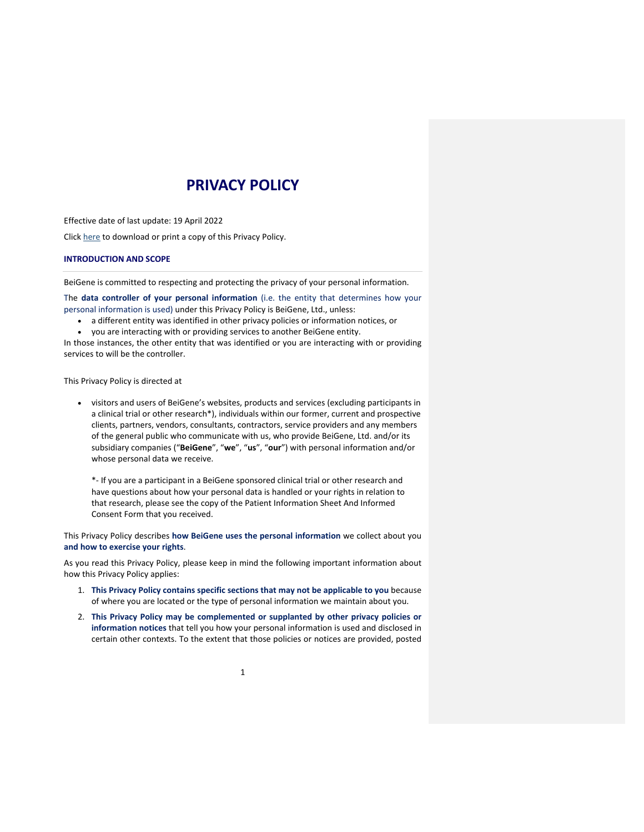# **PRIVACY POLICY**

Effective date of last update: 19 April 2022 Click here to download or print a copy of this Privacy Policy.

## **INTRODUCTION AND SCOPE**

BeiGene is committed to respecting and protecting the privacy of your personal information.

The **data controller of your personal information** (i.e. the entity that determines how your personal information is used) under this Privacy Policy is BeiGene, Ltd., unless:

- a different entity was identified in other privacy policies or information notices, or
- you are interacting with or providing services to another BeiGene entity.

In those instances, the other entity that was identified or you are interacting with or providing services to will be the controller.

This Privacy Policy is directed at

• visitors and users of BeiGene's websites, products and services (excluding participants in a clinical trial or other research\*), individuals within our former, current and prospective clients, partners, vendors, consultants, contractors, service providers and any members of the general public who communicate with us, who provide BeiGene, Ltd. and/or its subsidiary companies ("**BeiGene**", "**we**", "**us**", "**our**") with personal information and/or whose personal data we receive.

\*- If you are a participant in a BeiGene sponsored clinical trial or other research and have questions about how your personal data is handled or your rights in relation to that research, please see the copy of the Patient Information Sheet And Informed Consent Form that you received.

This Privacy Policy describes **how BeiGene uses the personal information** we collect about you **and how to exercise your rights**.

As you read this Privacy Policy, please keep in mind the following important information about how this Privacy Policy applies:

- 1. **This Privacy Policy contains specific sections that may not be applicable to you** because of where you are located or the type of personal information we maintain about you.
- 2. **This Privacy Policy may be complemented or supplanted by other privacy policies or information notices** that tell you how your personal information is used and disclosed in certain other contexts. To the extent that those policies or notices are provided, posted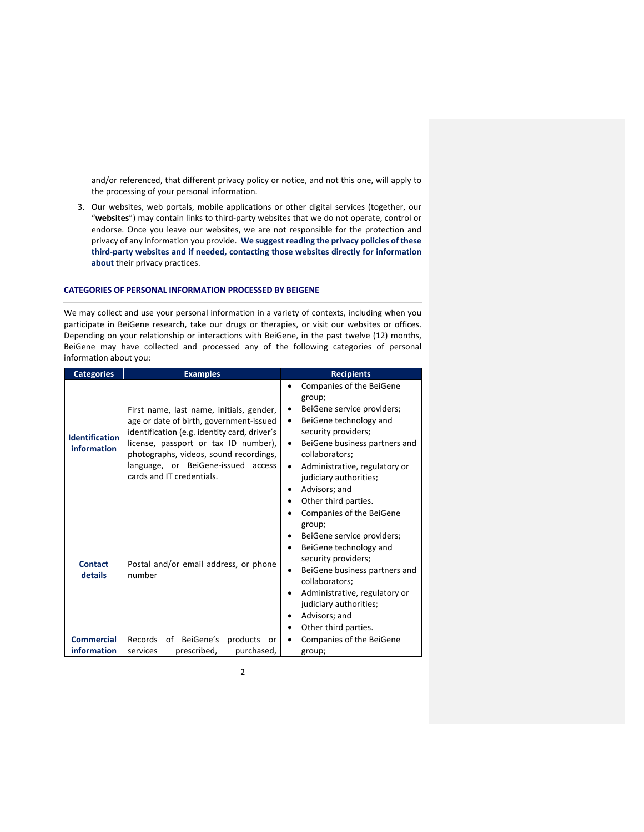and/or referenced, that different privacy policy or notice, and not this one, will apply to the processing of your personal information.

3. Our websites, web portals, mobile applications or other digital services (together, our "**websites**") may contain links to third-party websites that we do not operate, control or endorse. Once you leave our websites, we are not responsible for the protection and privacy of any information you provide. **We suggest reading the privacy policies of these third-party websites and if needed, contacting those websites directly for information about** their privacy practices.

# **CATEGORIES OF PERSONAL INFORMATION PROCESSED BY BEIGENE**

We may collect and use your personal information in a variety of contexts, including when you participate in BeiGene research, take our drugs or therapies, or visit our websites or offices. Depending on your relationship or interactions with BeiGene, in the past twelve (12) months, BeiGene may have collected and processed any of the following categories of personal information about you:

| <b>Categories</b>                    | <b>Examples</b>                                                                                                                                                                                                                                                                          | <b>Recipients</b>                                                                                                                                                                                                                                                                       |
|--------------------------------------|------------------------------------------------------------------------------------------------------------------------------------------------------------------------------------------------------------------------------------------------------------------------------------------|-----------------------------------------------------------------------------------------------------------------------------------------------------------------------------------------------------------------------------------------------------------------------------------------|
| <b>Identification</b><br>information | First name, last name, initials, gender,<br>age or date of birth, government-issued<br>identification (e.g. identity card, driver's<br>license, passport or tax ID number),<br>photographs, videos, sound recordings,<br>language, or BeiGene-issued access<br>cards and IT credentials. | Companies of the BeiGene<br>group;<br>BeiGene service providers;<br>٠<br>BeiGene technology and<br>٠<br>security providers;<br>BeiGene business partners and<br>٠<br>collaborators;<br>Administrative, regulatory or<br>judiciary authorities;<br>Advisors; and<br>Other third parties. |
| <b>Contact</b><br>details            | Postal and/or email address, or phone<br>number                                                                                                                                                                                                                                          | Companies of the BeiGene<br>group;<br>BeiGene service providers;<br>BeiGene technology and<br>security providers;<br>BeiGene business partners and<br>collaborators;<br>Administrative, regulatory or<br>judiciary authorities;<br>Advisors; and<br>Other third parties.                |
| <b>Commercial</b><br>information     | Records<br>of BeiGene's<br>products<br>or<br>prescribed,<br>purchased,<br>services                                                                                                                                                                                                       | Companies of the BeiGene<br>group;                                                                                                                                                                                                                                                      |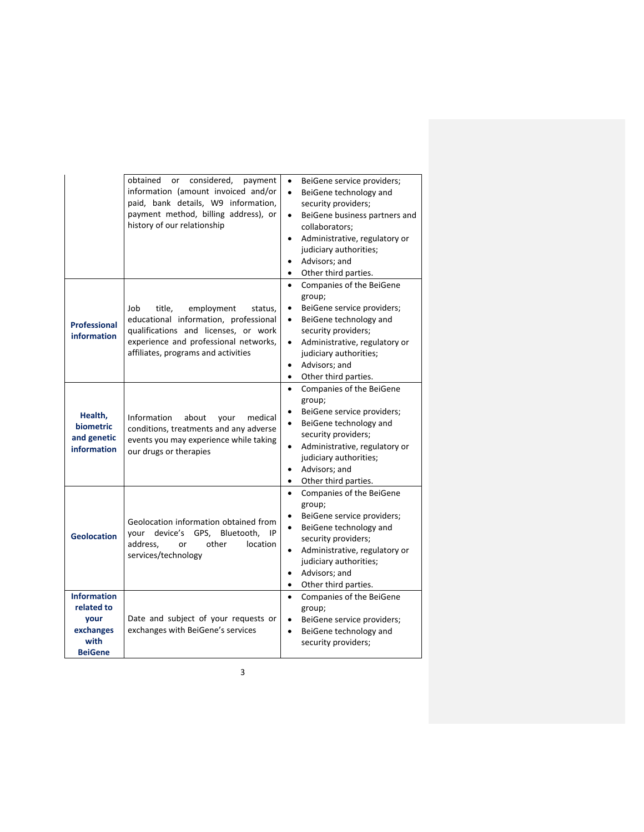|                                                                                 | obtained<br>considered,<br>payment<br>or<br>information (amount invoiced and/or<br>paid, bank details, W9 information,<br>payment method, billing address), or<br>history of our relationship           | BeiGene service providers;<br>٠<br>BeiGene technology and<br>$\bullet$<br>security providers;<br>BeiGene business partners and<br>$\bullet$<br>collaborators:<br>Administrative, regulatory or<br>$\bullet$<br>judiciary authorities;<br>Advisors; and<br>Other third parties.<br>$\bullet$ |
|---------------------------------------------------------------------------------|---------------------------------------------------------------------------------------------------------------------------------------------------------------------------------------------------------|---------------------------------------------------------------------------------------------------------------------------------------------------------------------------------------------------------------------------------------------------------------------------------------------|
| <b>Professional</b><br>information                                              | Job<br>title,<br>employment<br>status,<br>educational information, professional<br>qualifications and licenses, or work<br>experience and professional networks,<br>affiliates, programs and activities | Companies of the BeiGene<br>$\bullet$<br>group;<br>BeiGene service providers;<br>٠<br>BeiGene technology and<br>٠<br>security providers;<br>Administrative, regulatory or<br>$\bullet$<br>judiciary authorities;<br>Advisors; and<br>$\bullet$<br>Other third parties.<br>$\bullet$         |
| Health,<br>biometric<br>and genetic<br>information                              | Information<br>about<br>medical<br>your<br>conditions, treatments and any adverse<br>events you may experience while taking<br>our drugs or therapies                                                   | Companies of the BeiGene<br>$\bullet$<br>group;<br>BeiGene service providers;<br>BeiGene technology and<br>$\bullet$<br>security providers;<br>Administrative, regulatory or<br>$\bullet$<br>judiciary authorities;<br>Advisors; and<br>٠<br>Other third parties.<br>$\bullet$              |
| <b>Geolocation</b>                                                              | Geolocation information obtained from<br>device's<br>GPS,<br>Bluetooth,<br>your<br>IP<br>address.<br>other<br>location<br>or<br>services/technology                                                     | Companies of the BeiGene<br>$\bullet$<br>group;<br>BeiGene service providers;<br>BeiGene technology and<br>$\bullet$<br>security providers;<br>Administrative, regulatory or<br>٠<br>judiciary authorities;<br>Advisors; and<br>٠<br>Other third parties.<br>٠                              |
| <b>Information</b><br>related to<br>your<br>exchanges<br>with<br><b>BeiGene</b> | Date and subject of your requests or<br>exchanges with BeiGene's services                                                                                                                               | Companies of the BeiGene<br>$\bullet$<br>group;<br>BeiGene service providers;<br>$\bullet$<br>BeiGene technology and<br>$\bullet$<br>security providers;                                                                                                                                    |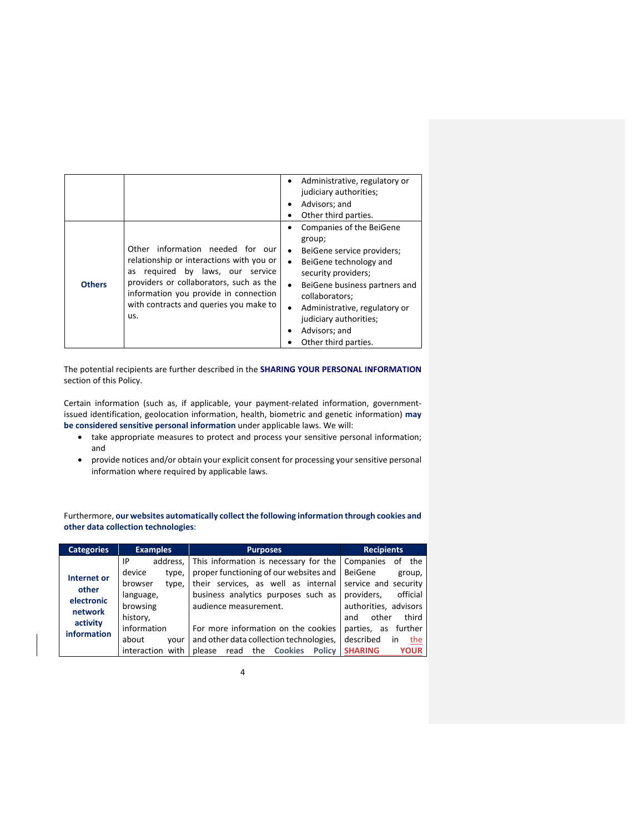|               |                                                                                                                                                                                                                                                          | Administrative, regulatory or<br>٠<br>judiciary authorities;<br>Advisors; and<br>٠                                                                                                                                                                                                                                                       |
|---------------|----------------------------------------------------------------------------------------------------------------------------------------------------------------------------------------------------------------------------------------------------------|------------------------------------------------------------------------------------------------------------------------------------------------------------------------------------------------------------------------------------------------------------------------------------------------------------------------------------------|
|               |                                                                                                                                                                                                                                                          | Other third parties.                                                                                                                                                                                                                                                                                                                     |
| <b>Others</b> | Other information needed for our<br>relationship or interactions with you or<br>required by laws, our service<br>as<br>providers or collaborators, such as the<br>information you provide in connection<br>with contracts and queries you make to<br>us. | <b>Companies of the BeiGene</b><br>group;<br>BeiGene service providers;<br>$\bullet$<br>BeiGene technology and<br>$\bullet$<br>security providers;<br>BeiGene business partners and<br>$\bullet$<br>collaborators;<br>Administrative, regulatory or<br>$\bullet$<br>judiciary authorities;<br>Advisors; and<br>٠<br>Other third parties. |

The potential recipients are further described in the **SHARING YOUR PERSONAL INFORMATION** section of this Policy.

Certain information (such as, if applicable, your payment-related information, governmentissued identification, geolocation information, health, biometric and genetic information) **may be considered sensitive personal information** under applicable laws. We will:

- take appropriate measures to protect and process your sensitive personal information; and
- provide notices and/or obtain your explicit consent for processing your sensitive personal information where required by applicable laws.

Furthermore, **our websites automatically collect the following information through cookies and other data collection technologies**:

| <b>Categories</b>                                    | <b>Examples</b>                                                                            | <b>Purposes</b>                                                                                                                                                                                                                 | <b>Recipients</b>                                                                               |
|------------------------------------------------------|--------------------------------------------------------------------------------------------|---------------------------------------------------------------------------------------------------------------------------------------------------------------------------------------------------------------------------------|-------------------------------------------------------------------------------------------------|
| <b>Internet or</b><br>other<br>electronic<br>network | IP<br>address,<br>device<br>type,<br>browser<br>type,<br>language,<br>browsing<br>history, | This information is necessary for the Companies<br>proper functioning of our websites and   BeiGene<br>their services, as well as internal service and security<br>business analytics purposes such as<br>audience measurement. | the<br>of<br>group,<br>providers,<br>official<br>authorities, advisors<br>third<br>other<br>and |
| activity<br>information                              | information<br>about<br>vour<br>interaction with                                           | For more information on the cookies<br>and other data collection technologies,<br>read the Cookies<br><b>Policy</b><br>please                                                                                                   | further<br>parties, as<br>described<br>the<br>in<br><b>SHARING</b><br><b>YOUR</b>               |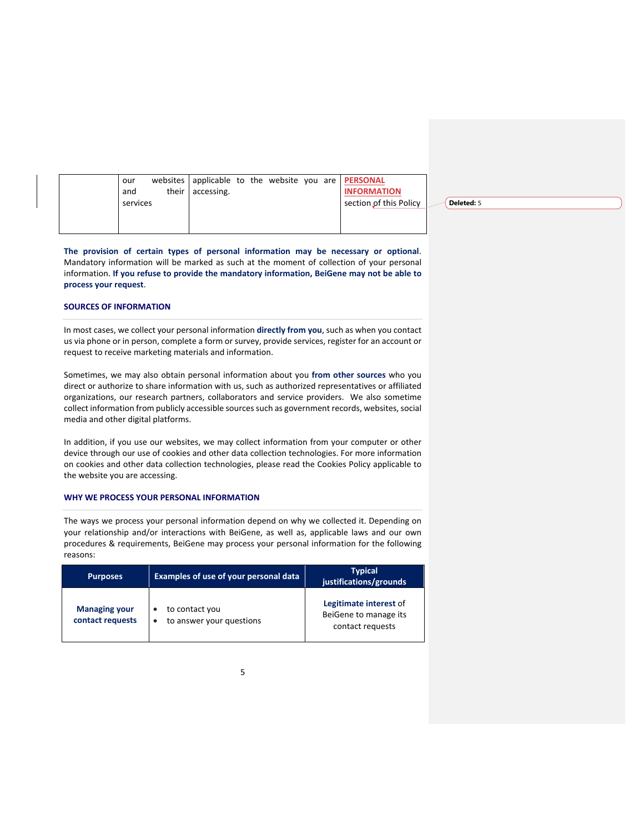|  | our<br>and<br>services | their | accessing. |  |  | websites applicable to the website you are <b>PERSONAL</b><br><b>INFORMATION</b><br>section of this Policy | Deleted: 5 |
|--|------------------------|-------|------------|--|--|------------------------------------------------------------------------------------------------------------|------------|
|  |                        |       |            |  |  |                                                                                                            |            |

**The provision of certain types of personal information may be necessary or optional**. Mandatory information will be marked as such at the moment of collection of your personal information. **If you refuse to provide the mandatory information, BeiGene may not be able to process your request**.

# **SOURCES OF INFORMATION**

In most cases, we collect your personal information **directly from you**, such as when you contact us via phone or in person, complete a form or survey, provide services, register for an account or request to receive marketing materials and information.

Sometimes, we may also obtain personal information about you **from other sources** who you direct or authorize to share information with us, such as authorized representatives or affiliated organizations, our research partners, collaborators and service providers. We also sometime collect information from publicly accessible sources such as government records, websites, social media and other digital platforms.

In addition, if you use our websites, we may collect information from your computer or other device through our use of cookies and other data collection technologies. For more information on cookies and other data collection technologies, please read the Cookies Policy applicable to the website you are accessing.

### **WHY WE PROCESS YOUR PERSONAL INFORMATION**

The ways we process your personal information depend on why we collected it. Depending on your relationship and/or interactions with BeiGene, as well as, applicable laws and our own procedures & requirements, BeiGene may process your personal information for the following reasons:

| <b>Purposes</b>                          | Examples of use of your personal data      | <b>Typical</b><br>justifications/grounds                            |
|------------------------------------------|--------------------------------------------|---------------------------------------------------------------------|
| <b>Managing your</b><br>contact requests | to contact you<br>to answer your questions | Legitimate interest of<br>BeiGene to manage its<br>contact requests |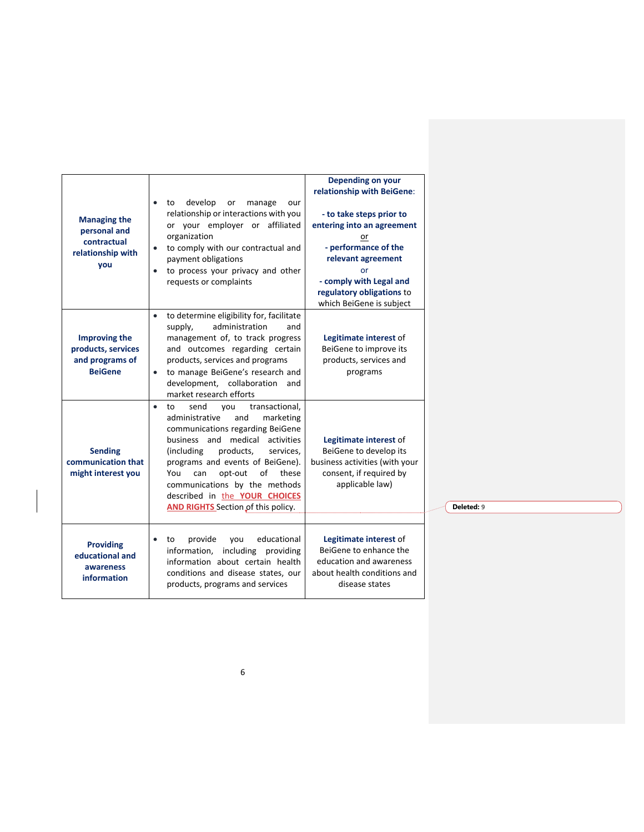| <b>Managing the</b><br>personal and<br>contractual<br>relationship with<br>you  | develop<br>or<br>manage<br>to<br>our<br>$\bullet$<br>relationship or interactions with you<br>or your employer or<br>affiliated<br>organization<br>to comply with our contractual and<br>payment obligations<br>to process your privacy and other<br>$\bullet$<br>requests or complaints                                                                                                     | Depending on your<br>relationship with BeiGene:<br>- to take steps prior to<br>entering into an agreement<br>or<br>- performance of the<br>relevant agreement<br>nr<br>- comply with Legal and<br>regulatory obligations to<br>which BeiGene is subject |
|---------------------------------------------------------------------------------|----------------------------------------------------------------------------------------------------------------------------------------------------------------------------------------------------------------------------------------------------------------------------------------------------------------------------------------------------------------------------------------------|---------------------------------------------------------------------------------------------------------------------------------------------------------------------------------------------------------------------------------------------------------|
| <b>Improving the</b><br>products, services<br>and programs of<br><b>BeiGene</b> | to determine eligibility for, facilitate<br>administration<br>supply,<br>and<br>management of, to track progress<br>and outcomes regarding certain<br>products, services and programs<br>to manage BeiGene's research and<br>$\bullet$<br>development, collaboration<br>and<br>market research efforts                                                                                       | Legitimate interest of<br>BeiGene to improve its<br>products, services and<br>programs                                                                                                                                                                  |
| <b>Sending</b><br>communication that<br>might interest you                      | transactional,<br>send<br>$\bullet$<br>to<br>you<br>and<br>administrative<br>marketing<br>communications regarding BeiGene<br>business and medical<br>activities<br>(including<br>products,<br>services,<br>programs and events of BeiGene).<br>of<br>You<br>opt-out<br>these<br>can<br>communications by the methods<br>described in the YOUR CHOICES<br>AND RIGHTS Section of this policy. | Legitimate interest of<br>BeiGene to develop its<br>business activities (with your<br>consent, if required by<br>applicable law)                                                                                                                        |
| <b>Providing</b><br>educational and<br>awareness<br>information                 | educational<br>provide<br>you<br>to<br>$\bullet$<br>information, including<br>providing<br>information about certain health<br>conditions and disease states, our<br>products, programs and services                                                                                                                                                                                         | Legitimate interest of<br>BeiGene to enhance the<br>education and awareness<br>about health conditions and<br>disease states                                                                                                                            |

**Deleted:** 9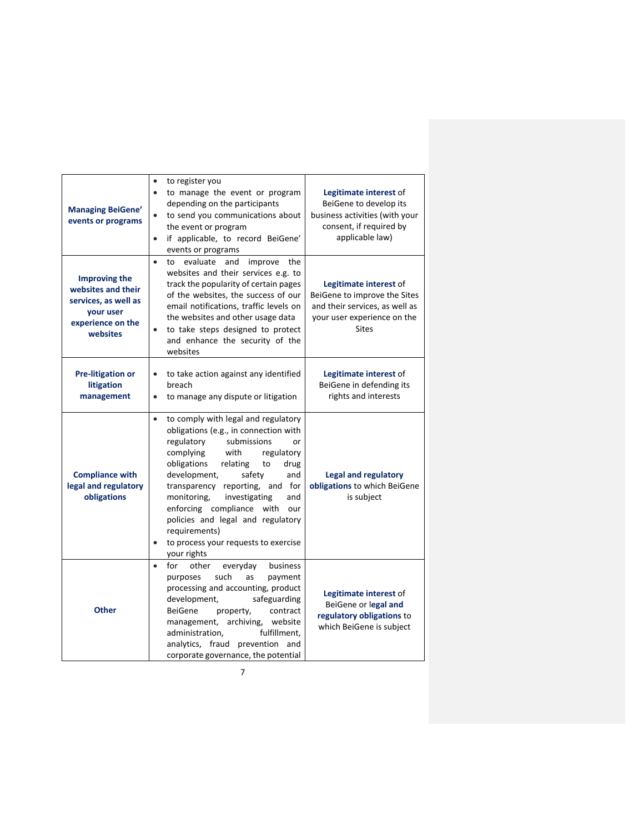| <b>Managing BeiGene'</b><br>events or programs                                                                   | to register you<br>$\bullet$<br>to manage the event or program<br>$\bullet$<br>depending on the participants<br>to send you communications about<br>$\bullet$<br>the event or program<br>if applicable, to record BeiGene'<br>$\bullet$<br>events or programs                                                                                                                                                                                                                     | Legitimate interest of<br>BeiGene to develop its<br>business activities (with your<br>consent, if required by<br>applicable law)        |
|------------------------------------------------------------------------------------------------------------------|-----------------------------------------------------------------------------------------------------------------------------------------------------------------------------------------------------------------------------------------------------------------------------------------------------------------------------------------------------------------------------------------------------------------------------------------------------------------------------------|-----------------------------------------------------------------------------------------------------------------------------------------|
| <b>Improving the</b><br>websites and their<br>services, as well as<br>your user<br>experience on the<br>websites | evaluate<br>improve the<br>$\bullet$<br>to<br>and<br>websites and their services e.g. to<br>track the popularity of certain pages<br>of the websites, the success of our<br>email notifications, traffic levels on<br>the websites and other usage data<br>to take steps designed to protect<br>and enhance the security of the<br>websites                                                                                                                                       | Legitimate interest of<br>BeiGene to improve the Sites<br>and their services, as well as<br>your user experience on the<br><b>Sites</b> |
| <b>Pre-litigation or</b><br>litigation<br>management                                                             | to take action against any identified<br>$\bullet$<br>breach<br>to manage any dispute or litigation<br>$\bullet$                                                                                                                                                                                                                                                                                                                                                                  | Legitimate interest of<br>BeiGene in defending its<br>rights and interests                                                              |
| <b>Compliance with</b><br>legal and regulatory<br>obligations                                                    | to comply with legal and regulatory<br>$\bullet$<br>obligations (e.g., in connection with<br>regulatory<br>submissions<br>or<br>complying<br>with<br>regulatory<br>obligations<br>relating<br>to<br>drug<br>development,<br>safety<br>and<br>transparency reporting, and for<br>monitoring,<br>investigating<br>and<br>enforcing compliance with<br>our<br>policies and legal and regulatory<br>requirements)<br>to process your requests to exercise<br>$\bullet$<br>your rights | <b>Legal and regulatory</b><br>obligations to which BeiGene<br>is subject                                                               |
| <b>Other</b>                                                                                                     | for<br>other<br>everyday<br>business<br>$\bullet$<br>such<br>purposes<br>as<br>payment<br>processing and accounting, product<br>safeguarding<br>development,<br><b>BeiGene</b><br>property,<br>contract<br>management, archiving, website<br>fulfillment,<br>administration,<br>analytics, fraud prevention and<br>corporate governance, the potential                                                                                                                            | Legitimate interest of<br>BeiGene or legal and<br>regulatory obligations to<br>which BeiGene is subject                                 |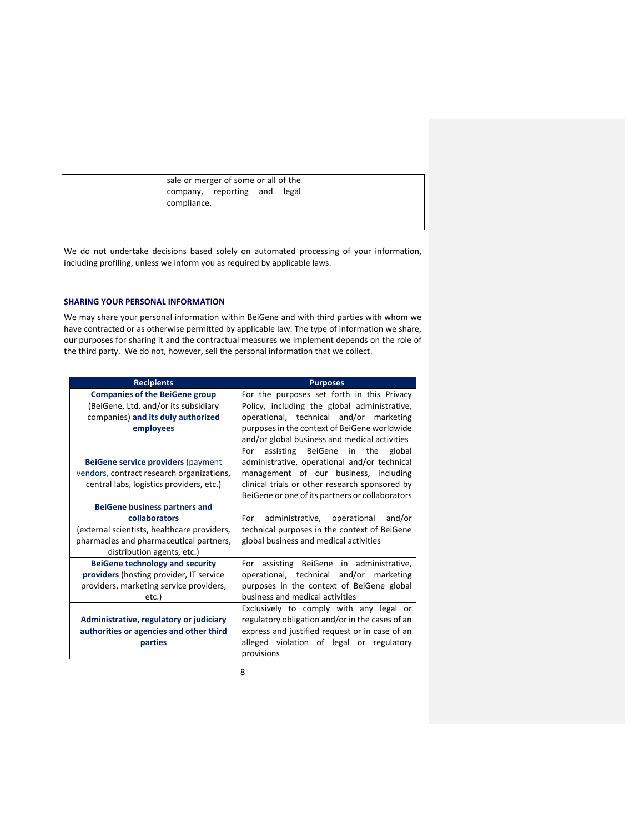We do not undertake decisions based solely on automated processing of your information, including profiling, unless we inform you as required by applicable laws.

# **SHARING YOUR PERSONAL INFORMATION**

We may share your personal information within BeiGene and with third parties with whom we have contracted or as otherwise permitted by applicable law. The type of information we share, our purposes for sharing it and the contractual measures we implement depends on the role of the third party. We do not, however, sell the personal information that we collect.

| <b>Companies of the BeiGene group</b><br>(BeiGene, Ltd. and/or its subsidiary<br>Policy, including the global administrative,<br>companies) and its duly authorized<br>employees<br>and/or global business and medical activities<br>For assisting BeiGene in the<br>BeiGene service providers (payment<br>vendors, contract research organizations,<br>clinical trials or other research sponsored by<br>central labs, logistics providers, etc.)<br>BeiGene or one of its partners or collaborators<br><b>BeiGene business partners and</b><br>collaborators<br>administrative, operational and/or<br>For<br>technical purposes in the context of BeiGene<br>(external scientists, healthcare providers,<br>pharmacies and pharmaceutical partners,<br>global business and medical activities<br>distribution agents, etc.)<br><b>BeiGene technology and security</b><br>For assisting BeiGene in administrative,<br>providers (hosting provider, IT service<br>operational, technical and/or marketing<br>providers, marketing service providers,<br>purposes in the context of BeiGene global<br>business and medical activities<br>etc.)<br>Exclusively to comply with any legal or<br>regulatory obligation and/or in the cases of an<br>Administrative, regulatory or judiciary<br>authorities or agencies and other third<br>express and justified request or in case of an<br>alleged violation of legal or regulatory<br>parties<br>provisions | <b>Recipients</b> | <b>Purposes</b>                              |
|----------------------------------------------------------------------------------------------------------------------------------------------------------------------------------------------------------------------------------------------------------------------------------------------------------------------------------------------------------------------------------------------------------------------------------------------------------------------------------------------------------------------------------------------------------------------------------------------------------------------------------------------------------------------------------------------------------------------------------------------------------------------------------------------------------------------------------------------------------------------------------------------------------------------------------------------------------------------------------------------------------------------------------------------------------------------------------------------------------------------------------------------------------------------------------------------------------------------------------------------------------------------------------------------------------------------------------------------------------------------------------------------------------------------------------------------------------|-------------------|----------------------------------------------|
|                                                                                                                                                                                                                                                                                                                                                                                                                                                                                                                                                                                                                                                                                                                                                                                                                                                                                                                                                                                                                                                                                                                                                                                                                                                                                                                                                                                                                                                          |                   | For the purposes set forth in this Privacy   |
|                                                                                                                                                                                                                                                                                                                                                                                                                                                                                                                                                                                                                                                                                                                                                                                                                                                                                                                                                                                                                                                                                                                                                                                                                                                                                                                                                                                                                                                          |                   | operational, technical and/or marketing      |
|                                                                                                                                                                                                                                                                                                                                                                                                                                                                                                                                                                                                                                                                                                                                                                                                                                                                                                                                                                                                                                                                                                                                                                                                                                                                                                                                                                                                                                                          |                   | purposes in the context of BeiGene worldwide |
|                                                                                                                                                                                                                                                                                                                                                                                                                                                                                                                                                                                                                                                                                                                                                                                                                                                                                                                                                                                                                                                                                                                                                                                                                                                                                                                                                                                                                                                          |                   | global                                       |
|                                                                                                                                                                                                                                                                                                                                                                                                                                                                                                                                                                                                                                                                                                                                                                                                                                                                                                                                                                                                                                                                                                                                                                                                                                                                                                                                                                                                                                                          |                   | administrative, operational and/or technical |
|                                                                                                                                                                                                                                                                                                                                                                                                                                                                                                                                                                                                                                                                                                                                                                                                                                                                                                                                                                                                                                                                                                                                                                                                                                                                                                                                                                                                                                                          |                   | management of our business, including        |
|                                                                                                                                                                                                                                                                                                                                                                                                                                                                                                                                                                                                                                                                                                                                                                                                                                                                                                                                                                                                                                                                                                                                                                                                                                                                                                                                                                                                                                                          |                   |                                              |
|                                                                                                                                                                                                                                                                                                                                                                                                                                                                                                                                                                                                                                                                                                                                                                                                                                                                                                                                                                                                                                                                                                                                                                                                                                                                                                                                                                                                                                                          |                   |                                              |
|                                                                                                                                                                                                                                                                                                                                                                                                                                                                                                                                                                                                                                                                                                                                                                                                                                                                                                                                                                                                                                                                                                                                                                                                                                                                                                                                                                                                                                                          |                   |                                              |
|                                                                                                                                                                                                                                                                                                                                                                                                                                                                                                                                                                                                                                                                                                                                                                                                                                                                                                                                                                                                                                                                                                                                                                                                                                                                                                                                                                                                                                                          |                   |                                              |
|                                                                                                                                                                                                                                                                                                                                                                                                                                                                                                                                                                                                                                                                                                                                                                                                                                                                                                                                                                                                                                                                                                                                                                                                                                                                                                                                                                                                                                                          |                   |                                              |
|                                                                                                                                                                                                                                                                                                                                                                                                                                                                                                                                                                                                                                                                                                                                                                                                                                                                                                                                                                                                                                                                                                                                                                                                                                                                                                                                                                                                                                                          |                   |                                              |
|                                                                                                                                                                                                                                                                                                                                                                                                                                                                                                                                                                                                                                                                                                                                                                                                                                                                                                                                                                                                                                                                                                                                                                                                                                                                                                                                                                                                                                                          |                   |                                              |
|                                                                                                                                                                                                                                                                                                                                                                                                                                                                                                                                                                                                                                                                                                                                                                                                                                                                                                                                                                                                                                                                                                                                                                                                                                                                                                                                                                                                                                                          |                   |                                              |
|                                                                                                                                                                                                                                                                                                                                                                                                                                                                                                                                                                                                                                                                                                                                                                                                                                                                                                                                                                                                                                                                                                                                                                                                                                                                                                                                                                                                                                                          |                   |                                              |
|                                                                                                                                                                                                                                                                                                                                                                                                                                                                                                                                                                                                                                                                                                                                                                                                                                                                                                                                                                                                                                                                                                                                                                                                                                                                                                                                                                                                                                                          |                   |                                              |
|                                                                                                                                                                                                                                                                                                                                                                                                                                                                                                                                                                                                                                                                                                                                                                                                                                                                                                                                                                                                                                                                                                                                                                                                                                                                                                                                                                                                                                                          |                   |                                              |
|                                                                                                                                                                                                                                                                                                                                                                                                                                                                                                                                                                                                                                                                                                                                                                                                                                                                                                                                                                                                                                                                                                                                                                                                                                                                                                                                                                                                                                                          |                   |                                              |
|                                                                                                                                                                                                                                                                                                                                                                                                                                                                                                                                                                                                                                                                                                                                                                                                                                                                                                                                                                                                                                                                                                                                                                                                                                                                                                                                                                                                                                                          |                   |                                              |
|                                                                                                                                                                                                                                                                                                                                                                                                                                                                                                                                                                                                                                                                                                                                                                                                                                                                                                                                                                                                                                                                                                                                                                                                                                                                                                                                                                                                                                                          |                   |                                              |
|                                                                                                                                                                                                                                                                                                                                                                                                                                                                                                                                                                                                                                                                                                                                                                                                                                                                                                                                                                                                                                                                                                                                                                                                                                                                                                                                                                                                                                                          |                   |                                              |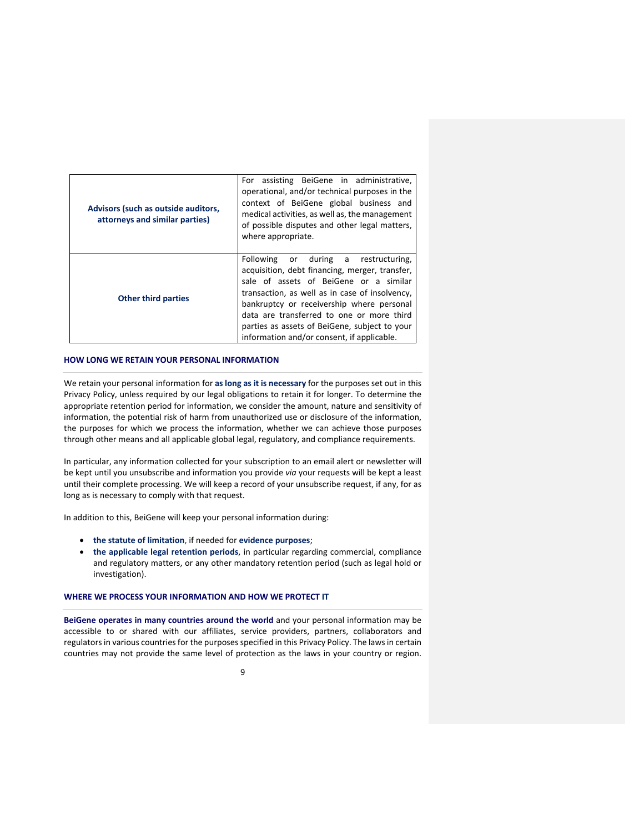| Advisors (such as outside auditors,<br>attorneys and similar parties) | For assisting BeiGene in administrative,<br>operational, and/or technical purposes in the<br>context of BeiGene global business and<br>medical activities, as well as, the management<br>of possible disputes and other legal matters,<br>where appropriate.                                                                                                                |
|-----------------------------------------------------------------------|-----------------------------------------------------------------------------------------------------------------------------------------------------------------------------------------------------------------------------------------------------------------------------------------------------------------------------------------------------------------------------|
| <b>Other third parties</b>                                            | Following or during a restructuring,<br>acquisition, debt financing, merger, transfer,<br>sale of assets of BeiGene or a similar<br>transaction, as well as in case of insolvency,<br>bankruptcy or receivership where personal<br>data are transferred to one or more third<br>parties as assets of BeiGene, subject to your<br>information and/or consent, if applicable. |

#### **HOW LONG WE RETAIN YOUR PERSONAL INFORMATION**

We retain your personal information for **as long as it is necessary** for the purposes set out in this Privacy Policy, unless required by our legal obligations to retain it for longer. To determine the appropriate retention period for information, we consider the amount, nature and sensitivity of information, the potential risk of harm from unauthorized use or disclosure of the information, the purposes for which we process the information, whether we can achieve those purposes through other means and all applicable global legal, regulatory, and compliance requirements.

In particular, any information collected for your subscription to an email alert or newsletter will be kept until you unsubscribe and information you provide *via* your requests will be kept a least until their complete processing. We will keep a record of your unsubscribe request, if any, for as long as is necessary to comply with that request.

In addition to this, BeiGene will keep your personal information during:

- **the statute of limitation**, if needed for **evidence purposes**;
- **the applicable legal retention periods**, in particular regarding commercial, compliance and regulatory matters, or any other mandatory retention period (such as legal hold or investigation).

#### **WHERE WE PROCESS YOUR INFORMATION AND HOW WE PROTECT IT**

**BeiGene operates in many countries around the world** and your personal information may be accessible to or shared with our affiliates, service providers, partners, collaborators and regulators in various countries for the purposes specified in this Privacy Policy. The laws in certain countries may not provide the same level of protection as the laws in your country or region.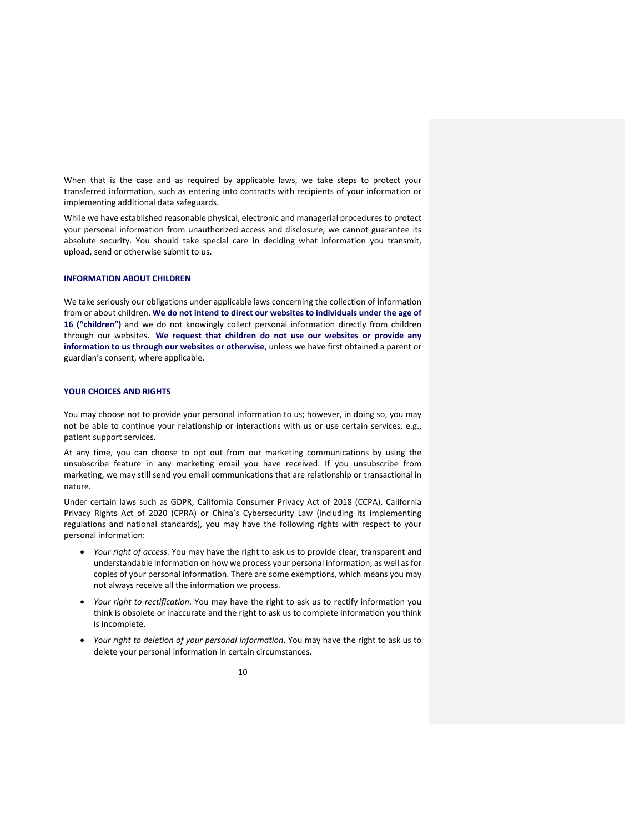When that is the case and as required by applicable laws, we take steps to protect your transferred information, such as entering into contracts with recipients of your information or implementing additional data safeguards.

While we have established reasonable physical, electronic and managerial procedures to protect your personal information from unauthorized access and disclosure, we cannot guarantee its absolute security. You should take special care in deciding what information you transmit, upload, send or otherwise submit to us.

#### **INFORMATION ABOUT CHILDREN**

We take seriously our obligations under applicable laws concerning the collection of information from or about children. **We do not intend to direct our websites to individuals under the age of 16 ("children")** and we do not knowingly collect personal information directly from children through our websites. **We request that children do not use our websites or provide any information to us through our websites or otherwise**, unless we have first obtained a parent or guardian's consent, where applicable.

# **YOUR CHOICES AND RIGHTS**

You may choose not to provide your personal information to us; however, in doing so, you may not be able to continue your relationship or interactions with us or use certain services, e.g., patient support services.

At any time, you can choose to opt out from our marketing communications by using the unsubscribe feature in any marketing email you have received. If you unsubscribe from marketing, we may still send you email communications that are relationship or transactional in nature.

Under certain laws such as GDPR, California Consumer Privacy Act of 2018 (CCPA), California Privacy Rights Act of 2020 (CPRA) or China's Cybersecurity Law (including its implementing regulations and national standards), you may have the following rights with respect to your personal information:

- *Your right of access*. You may have the right to ask us to provide clear, transparent and understandable information on how we process your personal information, as well asfor copies of your personal information. There are some exemptions, which means you may not always receive all the information we process.
- *Your right to rectification*. You may have the right to ask us to rectify information you think is obsolete or inaccurate and the right to ask us to complete information you think is incomplete.
- *Your right to deletion of your personal information*. You may have the right to ask us to delete your personal information in certain circumstances.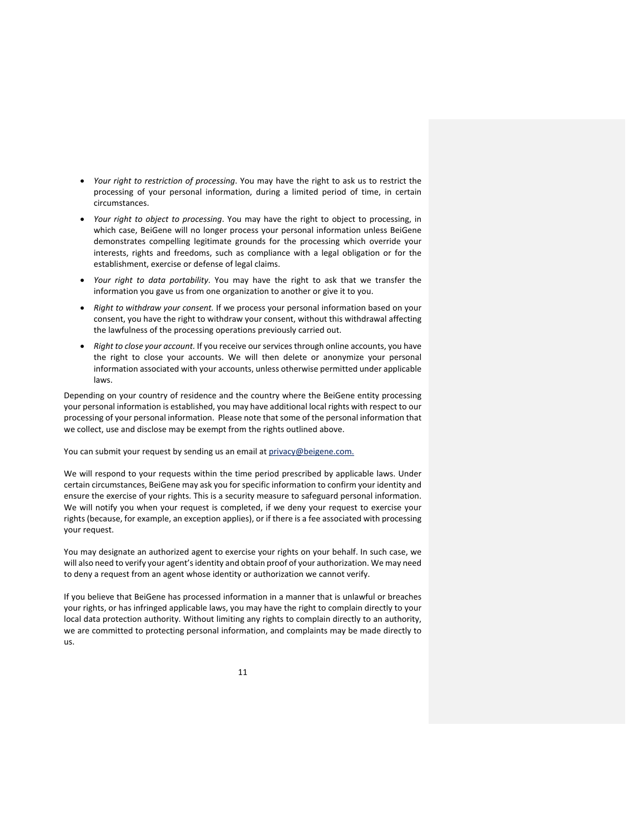- *Your right to restriction of processing*. You may have the right to ask us to restrict the processing of your personal information, during a limited period of time, in certain circumstances.
- *Your right to object to processing*. You may have the right to object to processing, in which case, BeiGene will no longer process your personal information unless BeiGene demonstrates compelling legitimate grounds for the processing which override your interests, rights and freedoms, such as compliance with a legal obligation or for the establishment, exercise or defense of legal claims.
- *Your right to data portability*. You may have the right to ask that we transfer the information you gave us from one organization to another or give it to you.
- *Right to withdraw your consent.* If we process your personal information based on your consent, you have the right to withdraw your consent, without this withdrawal affecting the lawfulness of the processing operations previously carried out.
- *Right to close your account.* If you receive our services through online accounts, you have the right to close your accounts. We will then delete or anonymize your personal information associated with your accounts, unless otherwise permitted under applicable laws.

Depending on your country of residence and the country where the BeiGene entity processing your personal information is established, you may have additional local rights with respect to our processing of your personal information. Please note that some of the personal information that we collect, use and disclose may be exempt from the rights outlined above.

You can submit your request by sending us an email at privacy@beigene.com.

We will respond to your requests within the time period prescribed by applicable laws. Under certain circumstances, BeiGene may ask you for specific information to confirm your identity and ensure the exercise of your rights. This is a security measure to safeguard personal information. We will notify you when your request is completed, if we deny your request to exercise your rights (because, for example, an exception applies), or if there is a fee associated with processing your request.

You may designate an authorized agent to exercise your rights on your behalf. In such case, we will also need to verify your agent's identity and obtain proof of your authorization. We may need to deny a request from an agent whose identity or authorization we cannot verify.

If you believe that BeiGene has processed information in a manner that is unlawful or breaches your rights, or has infringed applicable laws, you may have the right to complain directly to your local data protection authority. Without limiting any rights to complain directly to an authority, we are committed to protecting personal information, and complaints may be made directly to us.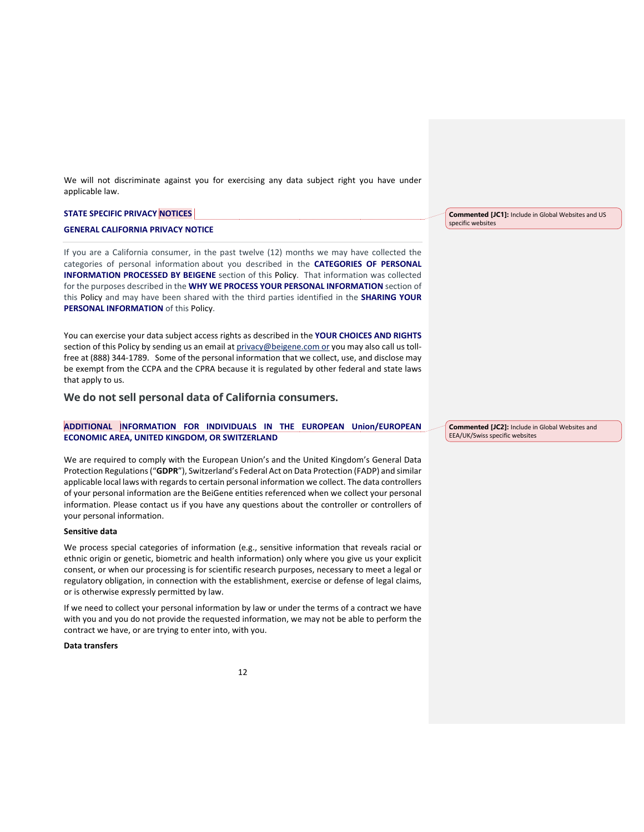We will not discriminate against you for exercising any data subject right you have under applicable law.

| <b>STATE SPECIFIC PRIVACY NOTICES</b>    | <b>Commented [JC1]:</b> Include in Global Websites and US |
|------------------------------------------|-----------------------------------------------------------|
| <b>GENERAL CALIFORNIA PRIVACY NOTICE</b> | specific websites                                         |

If you are a California consumer, in the past twelve (12) months we may have collected the categories of personal information about you described in the **CATEGORIES OF PERSONAL INFORMATION PROCESSED BY BEIGENE** section of this Policy. That information was collected for the purposes described in the **WHY WE PROCESS YOUR PERSONAL INFORMATION** section of this Policy and may have been shared with the third parties identified in the **SHARING YOUR PERSONAL INFORMATION** of this Policy.

You can exercise your data subject access rights as described in the **YOUR CHOICES AND RIGHTS** section of this Policy by sending us an email at privacy@beigene.com or you may also call us tollfree at (888) 344-1789. Some of the personal information that we collect, use, and disclose may be exempt from the CCPA and the CPRA because it is regulated by other federal and state laws that apply to us.

**We do not sell personal data of California consumers.**

**ADDITIONAL INFORMATION FOR INDIVIDUALS IN THE EUROPEAN Union/EUROPEAN ECONOMIC AREA, UNITED KINGDOM, OR SWITZERLAND**

We are required to comply with the European Union's and the United Kingdom's General Data Protection Regulations("**GDPR**"), Switzerland's Federal Act on Data Protection (FADP) and similar applicable local laws with regards to certain personal information we collect. The data controllers of your personal information are the BeiGene entities referenced when we collect your personal information. Please contact us if you have any questions about the controller or controllers of your personal information.

#### **Sensitive data**

We process special categories of information (e.g., sensitive information that reveals racial or ethnic origin or genetic, biometric and health information) only where you give us your explicit consent, or when our processing is for scientific research purposes, necessary to meet a legal or regulatory obligation, in connection with the establishment, exercise or defense of legal claims, or is otherwise expressly permitted by law.

If we need to collect your personal information by law or under the terms of a contract we have with you and you do not provide the requested information, we may not be able to perform the contract we have, or are trying to enter into, with you.

# **Data transfers**

**Commented [JC2]:** Include in Global Websites and

EEA/UK/Swiss specific websites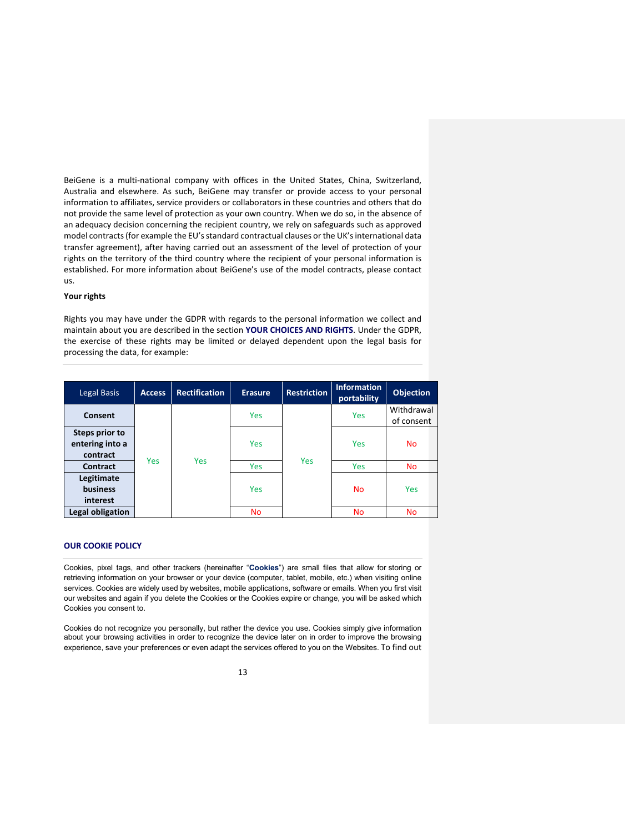BeiGene is a multi-national company with offices in the United States, China, Switzerland, Australia and elsewhere. As such, BeiGene may transfer or provide access to your personal information to affiliates, service providers or collaborators in these countries and others that do not provide the same level of protection as your own country. When we do so, in the absence of an adequacy decision concerning the recipient country, we rely on safeguards such as approved model contracts (for example the EU's standard contractual clauses or the UK's international data transfer agreement), after having carried out an assessment of the level of protection of your rights on the territory of the third country where the recipient of your personal information is established. For more information about BeiGene's use of the model contracts, please contact us.

#### **Your rights**

Rights you may have under the GDPR with regards to the personal information we collect and maintain about you are described in the section **YOUR CHOICES AND RIGHTS**. Under the GDPR, the exercise of these rights may be limited or delayed dependent upon the legal basis for processing the data, for example:

| Legal Basis                                   | <b>Access</b> | <b>Rectification</b> | <b>Erasure</b> | <b>Restriction</b> | <b>Information</b><br>portability | <b>Objection</b>         |
|-----------------------------------------------|---------------|----------------------|----------------|--------------------|-----------------------------------|--------------------------|
| Consent                                       | <b>Yes</b>    | <b>Yes</b>           | <b>Yes</b>     | <b>Yes</b>         | <b>Yes</b>                        | Withdrawal<br>of consent |
| Steps prior to<br>entering into a<br>contract |               |                      | <b>Yes</b>     |                    | <b>Yes</b>                        | <b>No</b>                |
| <b>Contract</b>                               |               |                      | Yes            |                    | Yes                               | <b>No</b>                |
| Legitimate<br><b>business</b><br>interest     |               |                      | Yes            |                    | <b>No</b>                         | <b>Yes</b>               |
| Legal obligation                              |               |                      | <b>No</b>      |                    | <b>No</b>                         | <b>No</b>                |

#### **OUR COOKIE POLICY**

Cookies, pixel tags, and other trackers (hereinafter "**Cookies**") are small files that allow for storing or retrieving information on your browser or your device (computer, tablet, mobile, etc.) when visiting online services. Cookies are widely used by websites, mobile applications, software or emails. When you first visit our websites and again if you delete the Cookies or the Cookies expire or change, you will be asked which Cookies you consent to.

Cookies do not recognize you personally, but rather the device you use. Cookies simply give information about your browsing activities in order to recognize the device later on in order to improve the browsing experience, save your preferences or even adapt the services offered to you on the Websites. To find out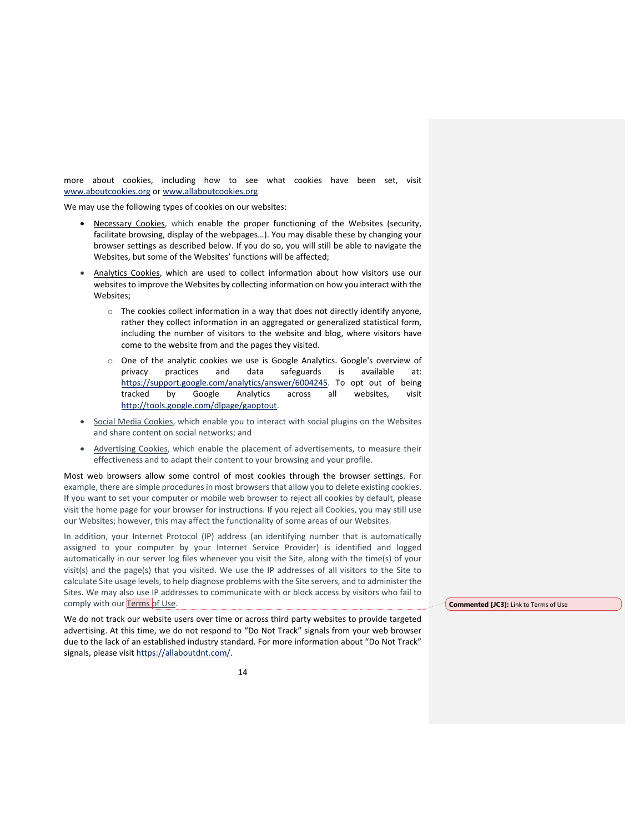more about cookies, including how to see what cookies have been set, visit www.aboutcookies.org or www.allaboutcookies.org

We may use the following types of cookies on our websites:

- Necessary Cookies, which enable the proper functioning of the Websites (security, facilitate browsing, display of the webpages…). You may disable these by changing your browser settings as described below. If you do so, you will still be able to navigate the Websites, but some of the Websites' functions will be affected;
- Analytics Cookies, which are used to collect information about how visitors use our websites to improve the Websites by collecting information on how you interact with the Websites;
	- $\circ$  The cookies collect information in a way that does not directly identify anyone, rather they collect information in an aggregated or generalized statistical form, including the number of visitors to the website and blog, where visitors have come to the website from and the pages they visited.
	- $\circ$  One of the analytic cookies we use is Google Analytics. Google's overview of privacy practices and data safeguards is available at: https://support.google.com/analytics/answer/6004245. To opt out of being tracked by Google Analytics across all websites, visit http://tools.google.com/dlpage/gaoptout.
- Social Media Cookies, which enable you to interact with social plugins on the Websites and share content on social networks; and
- Advertising Cookies, which enable the placement of advertisements, to measure their effectiveness and to adapt their content to your browsing and your profile.

Most web browsers allow some control of most cookies through the browser settings. For example, there are simple procedures in most browsers that allow you to delete existing cookies. If you want to set your computer or mobile web browser to reject all cookies by default, please visit the home page for your browser for instructions. If you reject all Cookies, you may still use our Websites; however, this may affect the functionality of some areas of our Websites.

In addition, your Internet Protocol (IP) address (an identifying number that is automatically assigned to your computer by your Internet Service Provider) is identified and logged automatically in our server log files whenever you visit the Site, along with the time(s) of your visit(s) and the page(s) that you visited. We use the IP addresses of all visitors to the Site to calculate Site usage levels, to help diagnose problems with the Site servers, and to administer the Sites. We may also use IP addresses to communicate with or block access by visitors who fail to comply with our Terms of Use.

We do not track our website users over time or across third party websites to provide targeted advertising. At this time, we do not respond to "Do Not Track" signals from your web browser due to the lack of an established industry standard. For more information about "Do Not Track" signals, please visit https://allaboutdnt.com/.

**Commented [JC3]:** Link to Terms of Use